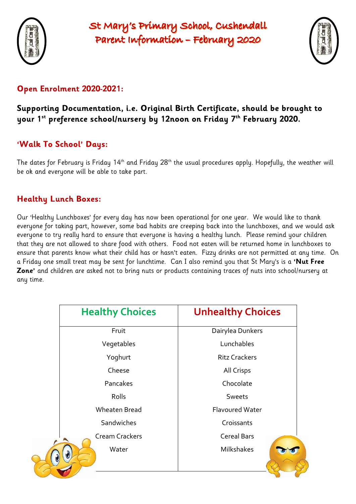

# St Mary's Primary School, Cushendall Parent Information - February 2020



## **Open Enrolment 2020-2021:**

### **Supporting Documentation, i.e. Original Birth Certificate, should be brought to your 1st preference school/nursery by 12noon on Friday 7 th February 2020.**

# **'Walk To School' Days:**

The dates for February is Friday 14<sup>th</sup> and Friday 28<sup>th</sup> the usual procedures apply. Hopefully, the weather will be ok and everyone will be able to take part.

### **Healthy Lunch Boxes:**

Our 'Healthy Lunchboxes' for every day has now been operational for one year. We would like to thank everyone for taking part, however, some bad habits are creeping back into the lunchboxes, and we would ask everyone to try really hard to ensure that everyone is having a healthy lunch. Please remind your children that they are not allowed to share food with others. Food not eaten will be returned home in lunchboxes to ensure that parents know what their child has or hasn't eaten. Fizzy drinks are not permitted at any time. On a Friday one small treat may be sent for lunchtime. Can I also remind you that St Mary's is a **'Nut Free Zone'** and children are asked not to bring nuts or products containing traces of nuts into school/nursery at any time.

| <b>Healthy Choices</b> | <b>Unhealthy Choices</b> |
|------------------------|--------------------------|
| Fruit                  | Dairylea Dunkers         |
| Vegetables             | Lunchables               |
| Yoghurt                | <b>Ritz Crackers</b>     |
| Cheese                 | <b>All Crisps</b>        |
| Pancakes               | Chocolate                |
| Rolls                  | Sweets                   |
| <b>Wheaten Bread</b>   | <b>Flavoured Water</b>   |
| Sandwiches             | Croissants               |
| <b>Cream Crackers</b>  | <b>Cereal Bars</b>       |
| Water<br>U             | <b>Milkshakes</b>        |